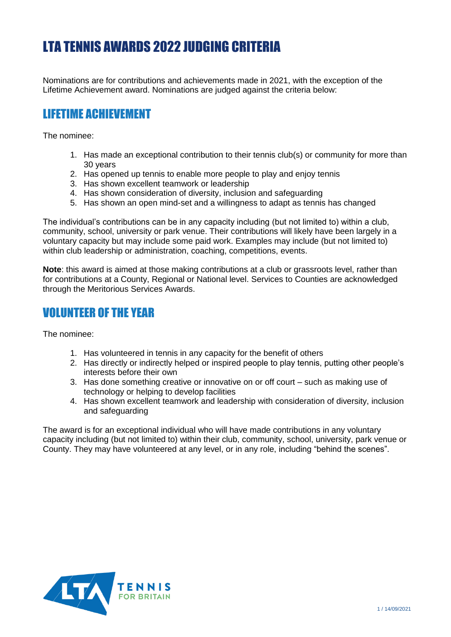# LTA TENNIS AWARDS 2022 JUDGING CRITERIA

Nominations are for contributions and achievements made in 2021, with the exception of the Lifetime Achievement award. Nominations are judged against the criteria below:

# LIFETIME ACHIEVEMENT

The nominee:

- 1. Has made an exceptional contribution to their tennis club(s) or community for more than 30 years
- 2. Has opened up tennis to enable more people to play and enjoy tennis
- 3. Has shown excellent teamwork or leadership
- 4. Has shown consideration of diversity, inclusion and safeguarding
- 5. Has shown an open mind-set and a willingness to adapt as tennis has changed

The individual's contributions can be in any capacity including (but not limited to) within a club, community, school, university or park venue. Their contributions will likely have been largely in a voluntary capacity but may include some paid work. Examples may include (but not limited to) within club leadership or administration, coaching, competitions, events.

**Note**: this award is aimed at those making contributions at a club or grassroots level, rather than for contributions at a County, Regional or National level. Services to Counties are acknowledged through the Meritorious Services Awards.

# VOLUNTEER OF THE YEAR

The nominee:

- 1. Has volunteered in tennis in any capacity for the benefit of others
- 2. Has directly or indirectly helped or inspired people to play tennis, putting other people's interests before their own
- 3. Has done something creative or innovative on or off court such as making use of technology or helping to develop facilities
- 4. Has shown excellent teamwork and leadership with consideration of diversity, inclusion and safeguarding

The award is for an exceptional individual who will have made contributions in any voluntary capacity including (but not limited to) within their club, community, school, university, park venue or County. They may have volunteered at any level, or in any role, including "behind the scenes".

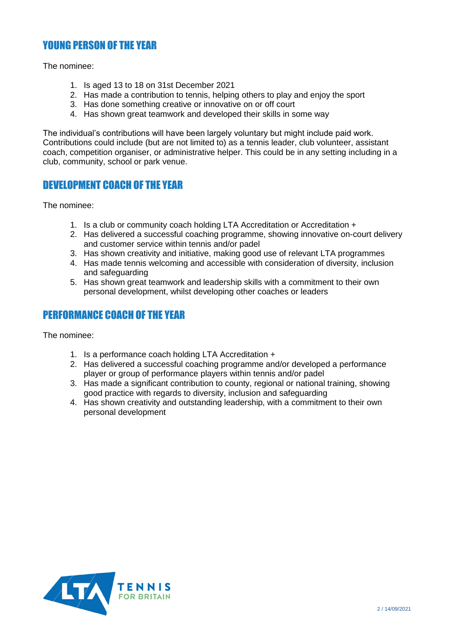# YOUNG PERSON OF THE YEAR

The nominee:

- 1. Is aged 13 to 18 on 31st December 2021
- 2. Has made a contribution to tennis, helping others to play and enjoy the sport
- 3. Has done something creative or innovative on or off court
- 4. Has shown great teamwork and developed their skills in some way

The individual's contributions will have been largely voluntary but might include paid work. Contributions could include (but are not limited to) as a tennis leader, club volunteer, assistant coach, competition organiser, or administrative helper. This could be in any setting including in a club, community, school or park venue.

#### DEVELOPMENT COACH OF THE YEAR

The nominee:

- 1. Is a club or community coach holding LTA Accreditation or Accreditation +
- 2. Has delivered a successful coaching programme, showing innovative on-court delivery and customer service within tennis and/or padel
- 3. Has shown creativity and initiative, making good use of relevant LTA programmes
- 4. Has made tennis welcoming and accessible with consideration of diversity, inclusion and safeguarding
- 5. Has shown great teamwork and leadership skills with a commitment to their own personal development, whilst developing other coaches or leaders

#### PERFORMANCE COACH OF THE YEAR

The nominee:

- 1. Is a performance coach holding LTA Accreditation +
- 2. Has delivered a successful coaching programme and/or developed a performance player or group of performance players within tennis and/or padel
- 3. Has made a significant contribution to county, regional or national training, showing good practice with regards to diversity, inclusion and safeguarding
- 4. Has shown creativity and outstanding leadership, with a commitment to their own personal development

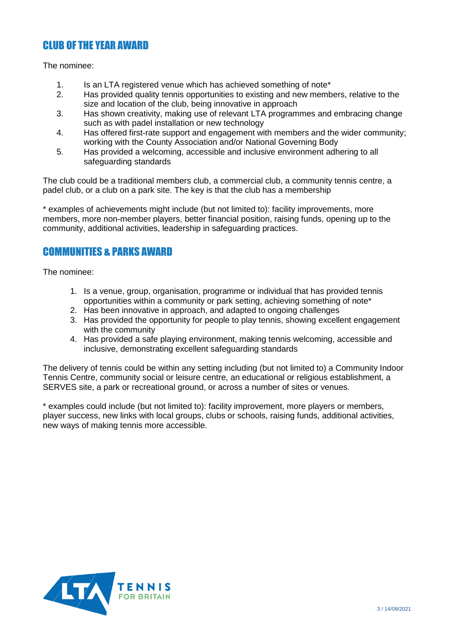# CLUB OF THE YEAR AWARD

The nominee:

- 1. Is an LTA registered venue which has achieved something of note\*
- 2. Has provided quality tennis opportunities to existing and new members, relative to the size and location of the club, being innovative in approach
- 3. Has shown creativity, making use of relevant LTA programmes and embracing change such as with padel installation or new technology
- 4. Has offered first-rate support and engagement with members and the wider community; working with the County Association and/or National Governing Body
- 5. Has provided a welcoming, accessible and inclusive environment adhering to all safeguarding standards

The club could be a traditional members club, a commercial club, a community tennis centre, a padel club, or a club on a park site. The key is that the club has a membership

\* examples of achievements might include (but not limited to): facility improvements, more members, more non-member players, better financial position, raising funds, opening up to the community, additional activities, leadership in safeguarding practices.

#### COMMUNITIES & PARKS AWARD

The nominee:

- 1. Is a venue, group, organisation, programme or individual that has provided tennis opportunities within a community or park setting, achieving something of note\*
- 2. Has been innovative in approach, and adapted to ongoing challenges
- 3. Has provided the opportunity for people to play tennis, showing excellent engagement with the community
- 4. Has provided a safe playing environment, making tennis welcoming, accessible and inclusive, demonstrating excellent safeguarding standards

The delivery of tennis could be within any setting including (but not limited to) a Community Indoor Tennis Centre, community social or leisure centre, an educational or religious establishment, a SERVES site, a park or recreational ground, or across a number of sites or venues.

\* examples could include (but not limited to): facility improvement, more players or members, player success, new links with local groups, clubs or schools, raising funds, additional activities, new ways of making tennis more accessible.

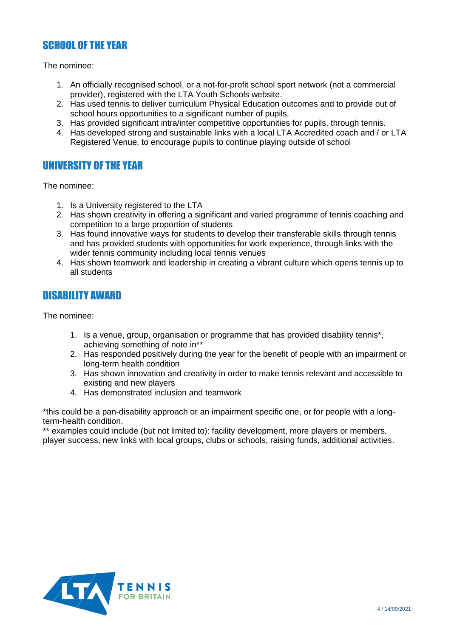## SCHOOL OF THE YEAR

The nominee:

- 1. An officially recognised school, or a not-for-profit school sport network (not a commercial provider), registered with the LTA Youth Schools website.
- 2. Has used tennis to deliver curriculum Physical Education outcomes and to provide out of school hours opportunities to a significant number of pupils.
- 3. Has provided significant intra/inter competitive opportunities for pupils, through tennis.
- 4. Has developed strong and sustainable links with a local LTA Accredited coach and / or LTA Registered Venue, to encourage pupils to continue playing outside of school

#### UNIVERSITY OF THE YEAR

The nominee:

- 1. Is a University registered to the LTA
- 2. Has shown creativity in offering a significant and varied programme of tennis coaching and competition to a large proportion of students
- 3. Has found innovative ways for students to develop their transferable skills through tennis and has provided students with opportunities for work experience, through links with the wider tennis community including local tennis venues
- 4. Has shown teamwork and leadership in creating a vibrant culture which opens tennis up to all students

#### DISABILITY AWARD

The nominee:

- 1. Is a venue, group, organisation or programme that has provided disability tennis\*, achieving something of note in\*\*
- 2. Has responded positively during the year for the benefit of people with an impairment or long-term health condition
- 3. Has shown innovation and creativity in order to make tennis relevant and accessible to existing and new players
- 4. Has demonstrated inclusion and teamwork

\*this could be a pan-disability approach or an impairment specific one, or for people with a longterm-health condition.

\*\* examples could include (but not limited to): facility development, more players or members, player success, new links with local groups, clubs or schools, raising funds, additional activities.